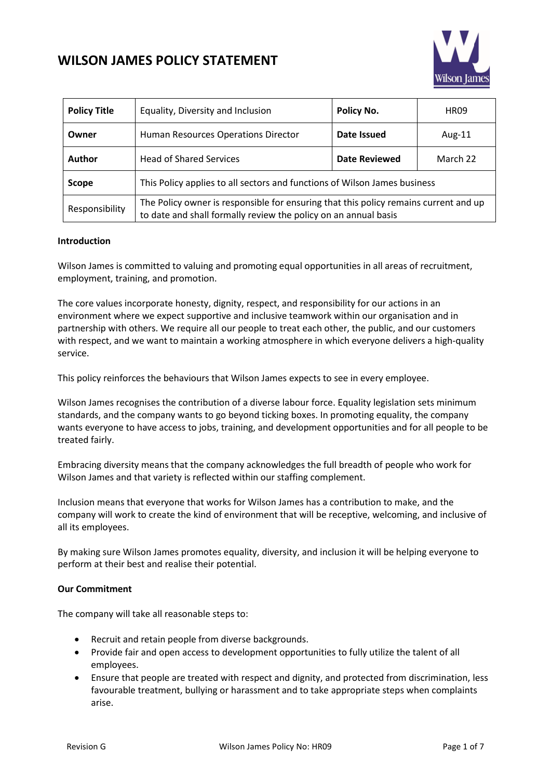

| <b>Policy Title</b> | Equality, Diversity and Inclusion                                                                                                                       | Policy No.           | <b>HR09</b> |
|---------------------|---------------------------------------------------------------------------------------------------------------------------------------------------------|----------------------|-------------|
| Owner               | Human Resources Operations Director                                                                                                                     | Date Issued          | Aug-11      |
| <b>Author</b>       | <b>Head of Shared Services</b>                                                                                                                          | <b>Date Reviewed</b> | March 22    |
| Scope               | This Policy applies to all sectors and functions of Wilson James business                                                                               |                      |             |
| Responsibility      | The Policy owner is responsible for ensuring that this policy remains current and up<br>to date and shall formally review the policy on an annual basis |                      |             |

#### **Introduction**

Wilson James is committed to valuing and promoting equal opportunities in all areas of recruitment, employment, training, and promotion.

The core values incorporate honesty, dignity, respect, and responsibility for our actions in an environment where we expect supportive and inclusive teamwork within our organisation and in partnership with others. We require all our people to treat each other, the public, and our customers with respect, and we want to maintain a working atmosphere in which everyone delivers a high-quality service.

This policy reinforces the behaviours that Wilson James expects to see in every employee.

Wilson James recognises the contribution of a diverse labour force. Equality legislation sets minimum standards, and the company wants to go beyond ticking boxes. In promoting equality, the company wants everyone to have access to jobs, training, and development opportunities and for all people to be treated fairly.

Embracing diversity means that the company acknowledges the full breadth of people who work for Wilson James and that variety is reflected within our staffing complement.

Inclusion means that everyone that works for Wilson James has a contribution to make, and the company will work to create the kind of environment that will be receptive, welcoming, and inclusive of all its employees.

By making sure Wilson James promotes equality, diversity, and inclusion it will be helping everyone to perform at their best and realise their potential.

#### **Our Commitment**

The company will take all reasonable steps to:

- Recruit and retain people from diverse backgrounds.
- Provide fair and open access to development opportunities to fully utilize the talent of all employees.
- Ensure that people are treated with respect and dignity, and protected from discrimination, less favourable treatment, bullying or harassment and to take appropriate steps when complaints arise.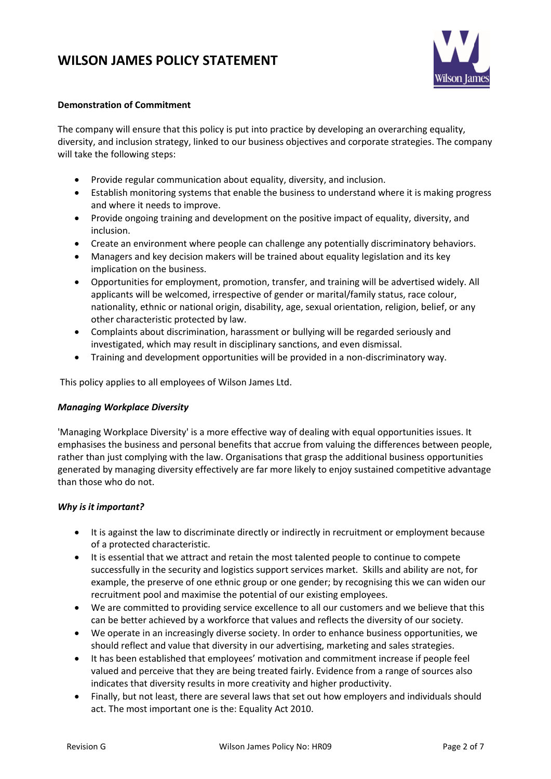

### **Demonstration of Commitment**

The company will ensure that this policy is put into practice by developing an overarching equality, diversity, and inclusion strategy, linked to our business objectives and corporate strategies. The company will take the following steps:

- Provide regular communication about equality, diversity, and inclusion.
- Establish monitoring systems that enable the business to understand where it is making progress and where it needs to improve.
- Provide ongoing training and development on the positive impact of equality, diversity, and inclusion.
- Create an environment where people can challenge any potentially discriminatory behaviors.
- Managers and key decision makers will be trained about equality legislation and its key implication on the business.
- Opportunities for employment, promotion, transfer, and training will be advertised widely. All applicants will be welcomed, irrespective of gender or marital/family status, race colour, nationality, ethnic or national origin, disability, age, sexual orientation, religion, belief, or any other characteristic protected by law.
- Complaints about discrimination, harassment or bullying will be regarded seriously and investigated, which may result in disciplinary sanctions, and even dismissal.
- Training and development opportunities will be provided in a non-discriminatory way.

This policy applies to all employees of Wilson James Ltd.

### *Managing Workplace Diversity*

'Managing Workplace Diversity' is a more effective way of dealing with equal opportunities issues. It emphasises the business and personal benefits that accrue from valuing the differences between people, rather than just complying with the law. Organisations that grasp the additional business opportunities generated by managing diversity effectively are far more likely to enjoy sustained competitive advantage than those who do not.

### *Why is it important?*

- It is against the law to discriminate directly or indirectly in recruitment or employment because of a protected characteristic.
- It is essential that we attract and retain the most talented people to continue to compete successfully in the security and logistics support services market. Skills and ability are not, for example, the preserve of one ethnic group or one gender; by recognising this we can widen our recruitment pool and maximise the potential of our existing employees.
- We are committed to providing service excellence to all our customers and we believe that this can be better achieved by a workforce that values and reflects the diversity of our society.
- We operate in an increasingly diverse society. In order to enhance business opportunities, we should reflect and value that diversity in our advertising, marketing and sales strategies.
- It has been established that employees' motivation and commitment increase if people feel valued and perceive that they are being treated fairly. Evidence from a range of sources also indicates that diversity results in more creativity and higher productivity.
- Finally, but not least, there are several laws that set out how employers and individuals should act. The most important one is the: Equality Act 2010.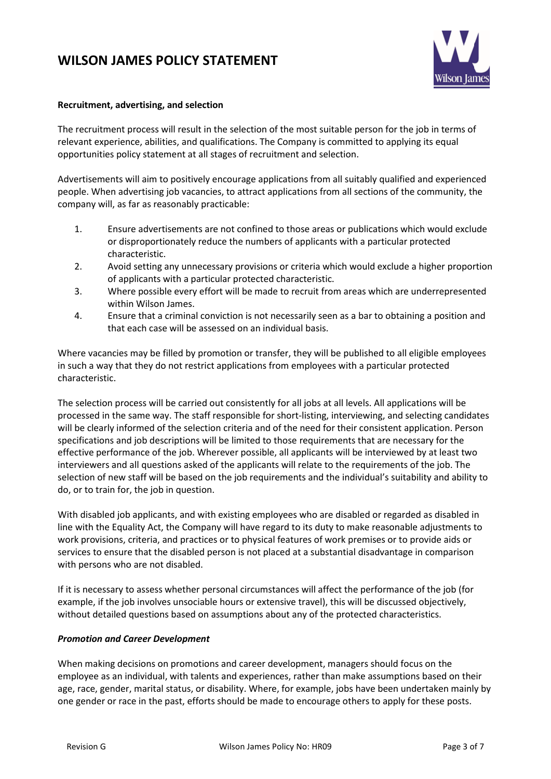

### **Recruitment, advertising, and selection**

The recruitment process will result in the selection of the most suitable person for the job in terms of relevant experience, abilities, and qualifications. The Company is committed to applying its equal opportunities policy statement at all stages of recruitment and selection.

Advertisements will aim to positively encourage applications from all suitably qualified and experienced people. When advertising job vacancies, to attract applications from all sections of the community, the company will, as far as reasonably practicable:

- 1. Ensure advertisements are not confined to those areas or publications which would exclude or disproportionately reduce the numbers of applicants with a particular protected characteristic.
- 2. Avoid setting any unnecessary provisions or criteria which would exclude a higher proportion of applicants with a particular protected characteristic.
- 3. Where possible every effort will be made to recruit from areas which are underrepresented within Wilson James.
- 4. Ensure that a criminal conviction is not necessarily seen as a bar to obtaining a position and that each case will be assessed on an individual basis.

Where vacancies may be filled by promotion or transfer, they will be published to all eligible employees in such a way that they do not restrict applications from employees with a particular protected characteristic.

The selection process will be carried out consistently for all jobs at all levels. All applications will be processed in the same way. The staff responsible for short-listing, interviewing, and selecting candidates will be clearly informed of the selection criteria and of the need for their consistent application. Person specifications and job descriptions will be limited to those requirements that are necessary for the effective performance of the job. Wherever possible, all applicants will be interviewed by at least two interviewers and all questions asked of the applicants will relate to the requirements of the job. The selection of new staff will be based on the job requirements and the individual's suitability and ability to do, or to train for, the job in question.

With disabled job applicants, and with existing employees who are disabled or regarded as disabled in line with the Equality Act, the Company will have regard to its duty to make reasonable adjustments to work provisions, criteria, and practices or to physical features of work premises or to provide aids or services to ensure that the disabled person is not placed at a substantial disadvantage in comparison with persons who are not disabled.

If it is necessary to assess whether personal circumstances will affect the performance of the job (for example, if the job involves unsociable hours or extensive travel), this will be discussed objectively, without detailed questions based on assumptions about any of the protected characteristics.

### *Promotion and Career Development*

When making decisions on promotions and career development, managers should focus on the employee as an individual, with talents and experiences, rather than make assumptions based on their age, race, gender, marital status, or disability. Where, for example, jobs have been undertaken mainly by one gender or race in the past, efforts should be made to encourage others to apply for these posts.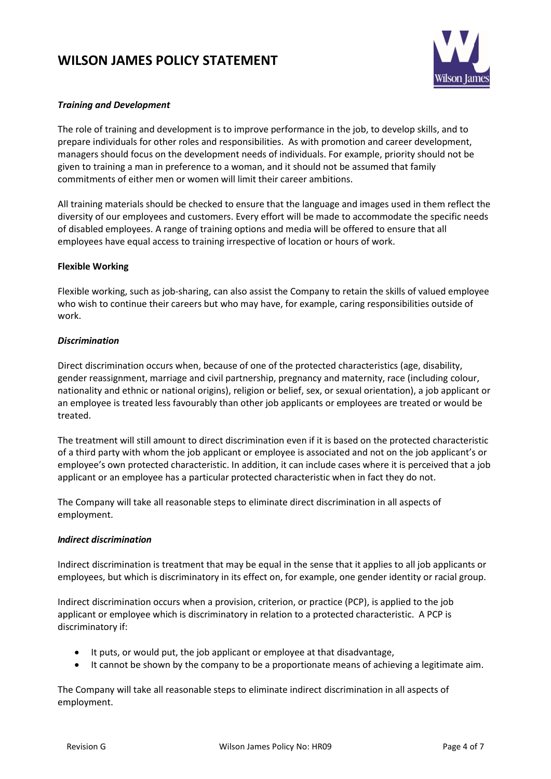

### *Training and Development*

The role of training and development is to improve performance in the job, to develop skills, and to prepare individuals for other roles and responsibilities. As with promotion and career development, managers should focus on the development needs of individuals. For example, priority should not be given to training a man in preference to a woman, and it should not be assumed that family commitments of either men or women will limit their career ambitions.

All training materials should be checked to ensure that the language and images used in them reflect the diversity of our employees and customers. Every effort will be made to accommodate the specific needs of disabled employees. A range of training options and media will be offered to ensure that all employees have equal access to training irrespective of location or hours of work.

### **Flexible Working**

Flexible working, such as job-sharing, can also assist the Company to retain the skills of valued employee who wish to continue their careers but who may have, for example, caring responsibilities outside of work.

### *Discrimination*

Direct discrimination occurs when, because of one of the protected characteristics (age, disability, gender reassignment, marriage and civil partnership, pregnancy and maternity, race (including colour, nationality and ethnic or national origins), religion or belief, sex, or sexual orientation), a job applicant or an employee is treated less favourably than other job applicants or employees are treated or would be treated.

The treatment will still amount to direct discrimination even if it is based on the protected characteristic of a third party with whom the job applicant or employee is associated and not on the job applicant's or employee's own protected characteristic. In addition, it can include cases where it is perceived that a job applicant or an employee has a particular protected characteristic when in fact they do not.

The Company will take all reasonable steps to eliminate direct discrimination in all aspects of employment.

### *Indirect discrimination*

Indirect discrimination is treatment that may be equal in the sense that it applies to all job applicants or employees, but which is discriminatory in its effect on, for example, one gender identity or racial group.

Indirect discrimination occurs when a provision, criterion, or practice (PCP), is applied to the job applicant or employee which is discriminatory in relation to a protected characteristic. A PCP is discriminatory if:

- It puts, or would put, the job applicant or employee at that disadvantage,
- It cannot be shown by the company to be a proportionate means of achieving a legitimate aim.

The Company will take all reasonable steps to eliminate indirect discrimination in all aspects of employment.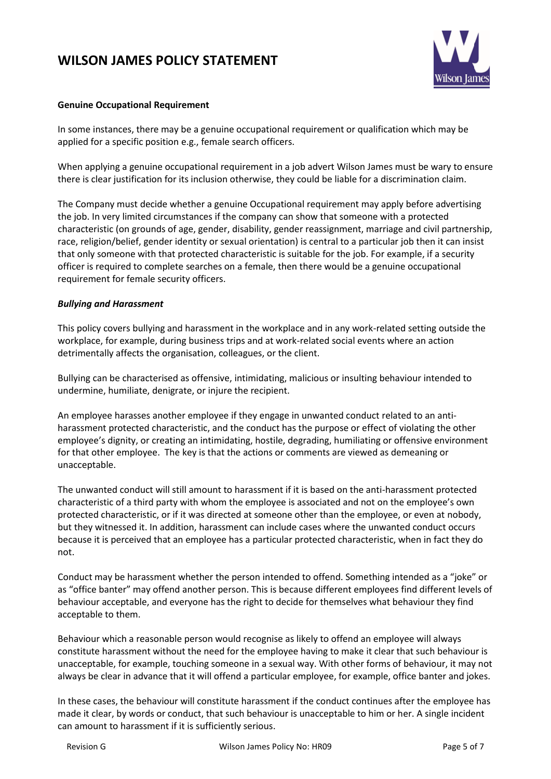

### **Genuine Occupational Requirement**

In some instances, there may be a genuine occupational requirement or qualification which may be applied for a specific position e.g., female search officers.

When applying a genuine occupational requirement in a job advert Wilson James must be wary to ensure there is clear justification for its inclusion otherwise, they could be liable for a discrimination claim.

The Company must decide whether a genuine Occupational requirement may apply before advertising the job. In very limited circumstances if the company can show that someone with a protected characteristic (on grounds of age, gender, disability, gender reassignment, marriage and civil partnership, race, religion/belief, gender identity or sexual orientation) is central to a particular job then it can insist that only someone with that protected characteristic is suitable for the job. For example, if a security officer is required to complete searches on a female, then there would be a genuine occupational requirement for female security officers.

### *Bullying and Harassment*

This policy covers bullying and harassment in the workplace and in any work-related setting outside the workplace, for example, during business trips and at work-related social events where an action detrimentally affects the organisation, colleagues, or the client.

Bullying can be characterised as offensive, intimidating, malicious or insulting behaviour intended to undermine, humiliate, denigrate, or injure the recipient.

An employee harasses another employee if they engage in unwanted conduct related to an antiharassment protected characteristic, and the conduct has the purpose or effect of violating the other employee's dignity, or creating an intimidating, hostile, degrading, humiliating or offensive environment for that other employee. The key is that the actions or comments are viewed as demeaning or unacceptable.

The unwanted conduct will still amount to harassment if it is based on the anti-harassment protected characteristic of a third party with whom the employee is associated and not on the employee's own protected characteristic, or if it was directed at someone other than the employee, or even at nobody, but they witnessed it. In addition, harassment can include cases where the unwanted conduct occurs because it is perceived that an employee has a particular protected characteristic, when in fact they do not.

Conduct may be harassment whether the person intended to offend. Something intended as a "joke" or as "office banter" may offend another person. This is because different employees find different levels of behaviour acceptable, and everyone has the right to decide for themselves what behaviour they find acceptable to them.

Behaviour which a reasonable person would recognise as likely to offend an employee will always constitute harassment without the need for the employee having to make it clear that such behaviour is unacceptable, for example, touching someone in a sexual way. With other forms of behaviour, it may not always be clear in advance that it will offend a particular employee, for example, office banter and jokes.

In these cases, the behaviour will constitute harassment if the conduct continues after the employee has made it clear, by words or conduct, that such behaviour is unacceptable to him or her. A single incident can amount to harassment if it is sufficiently serious.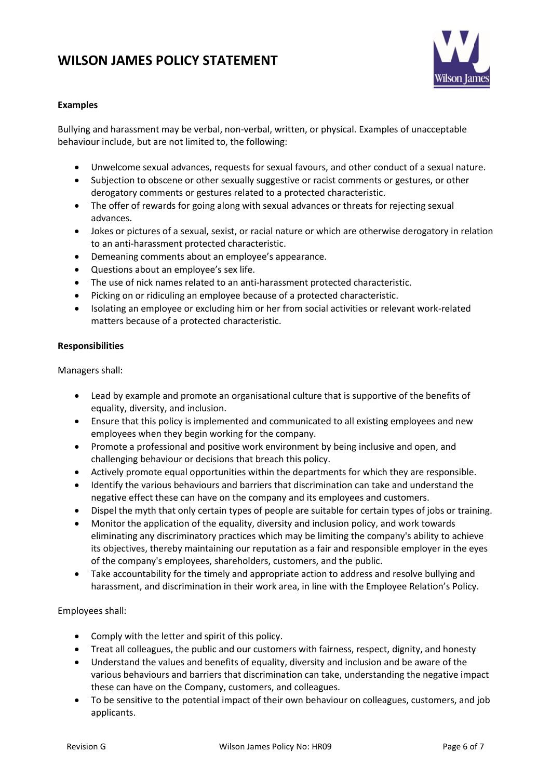

### **Examples**

Bullying and harassment may be verbal, non-verbal, written, or physical. Examples of unacceptable behaviour include, but are not limited to, the following:

- Unwelcome sexual advances, requests for sexual favours, and other conduct of a sexual nature.
- Subjection to obscene or other sexually suggestive or racist comments or gestures, or other derogatory comments or gestures related to a protected characteristic.
- The offer of rewards for going along with sexual advances or threats for rejecting sexual advances.
- Jokes or pictures of a sexual, sexist, or racial nature or which are otherwise derogatory in relation to an anti-harassment protected characteristic.
- Demeaning comments about an employee's appearance.
- Questions about an employee's sex life.
- The use of nick names related to an anti-harassment protected characteristic.
- Picking on or ridiculing an employee because of a protected characteristic.
- Isolating an employee or excluding him or her from social activities or relevant work-related matters because of a protected characteristic.

### **Responsibilities**

Managers shall:

- Lead by example and promote an organisational culture that is supportive of the benefits of equality, diversity, and inclusion.
- Ensure that this policy is implemented and communicated to all existing employees and new employees when they begin working for the company.
- Promote a professional and positive work environment by being inclusive and open, and challenging behaviour or decisions that breach this policy.
- Actively promote equal opportunities within the departments for which they are responsible.
- Identify the various behaviours and barriers that discrimination can take and understand the negative effect these can have on the company and its employees and customers.
- Dispel the myth that only certain types of people are suitable for certain types of jobs or training.
- Monitor the application of the equality, diversity and inclusion policy, and work towards eliminating any discriminatory practices which may be limiting the company's ability to achieve its objectives, thereby maintaining our reputation as a fair and responsible employer in the eyes of the company's employees, shareholders, customers, and the public.
- Take accountability for the timely and appropriate action to address and resolve bullying and harassment, and discrimination in their work area, in line with the Employee Relation's Policy.

Employees shall:

- Comply with the letter and spirit of this policy.
- Treat all colleagues, the public and our customers with fairness, respect, dignity, and honesty
- Understand the values and benefits of equality, diversity and inclusion and be aware of the various behaviours and barriers that discrimination can take, understanding the negative impact these can have on the Company, customers, and colleagues.
- To be sensitive to the potential impact of their own behaviour on colleagues, customers, and job applicants.